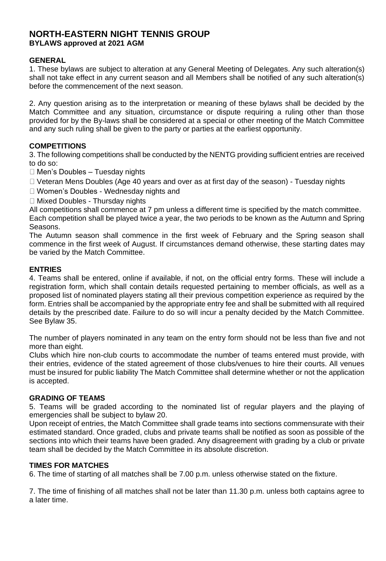## **NORTH-EASTERN NIGHT TENNIS GROUP BYLAWS approved at 2021 AGM**

## **GENERAL**

1. These bylaws are subject to alteration at any General Meeting of Delegates. Any such alteration(s) shall not take effect in any current season and all Members shall be notified of any such alteration(s) before the commencement of the next season.

2. Any question arising as to the interpretation or meaning of these bylaws shall be decided by the Match Committee and any situation, circumstance or dispute requiring a ruling other than those provided for by the By-laws shall be considered at a special or other meeting of the Match Committee and any such ruling shall be given to the party or parties at the earliest opportunity.

# **COMPETITIONS**

3. The following competitions shall be conducted by the NENTG providing sufficient entries are received to do so:

 $\Box$  Men's Doubles – Tuesday nights

 $\Box$  Veteran Mens Doubles (Age 40 years and over as at first day of the season) - Tuesday nights

□ Women's Doubles - Wednesday nights and

Mixed Doubles - Thursday nights

All competitions shall commence at 7 pm unless a different time is specified by the match committee.

Each competition shall be played twice a year, the two periods to be known as the Autumn and Spring Seasons.

The Autumn season shall commence in the first week of February and the Spring season shall commence in the first week of August. If circumstances demand otherwise, these starting dates may be varied by the Match Committee.

## **ENTRIES**

4. Teams shall be entered, online if available, if not, on the official entry forms. These will include a registration form, which shall contain details requested pertaining to member officials, as well as a proposed list of nominated players stating all their previous competition experience as required by the form. Entries shall be accompanied by the appropriate entry fee and shall be submitted with all required details by the prescribed date. Failure to do so will incur a penalty decided by the Match Committee. See Bylaw 35.

The number of players nominated in any team on the entry form should not be less than five and not more than eight.

Clubs which hire non-club courts to accommodate the number of teams entered must provide, with their entries, evidence of the stated agreement of those clubs/venues to hire their courts. All venues must be insured for public liability The Match Committee shall determine whether or not the application is accepted.

#### **GRADING OF TEAMS**

5. Teams will be graded according to the nominated list of regular players and the playing of emergencies shall be subject to bylaw 20.

Upon receipt of entries, the Match Committee shall grade teams into sections commensurate with their estimated standard. Once graded, clubs and private teams shall be notified as soon as possible of the sections into which their teams have been graded. Any disagreement with grading by a club or private team shall be decided by the Match Committee in its absolute discretion.

# **TIMES FOR MATCHES**

6. The time of starting of all matches shall be 7.00 p.m. unless otherwise stated on the fixture.

7. The time of finishing of all matches shall not be later than 11.30 p.m. unless both captains agree to a later time.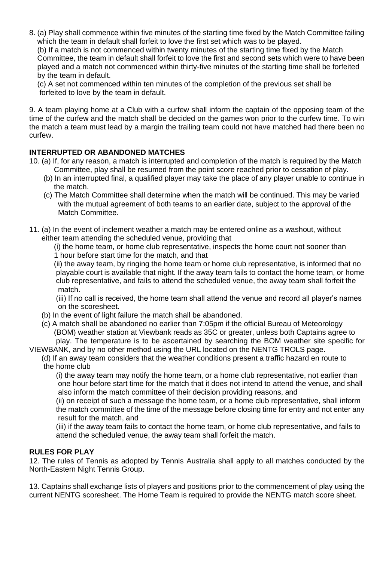8. (a) Play shall commence within five minutes of the starting time fixed by the Match Committee failing which the team in default shall forfeit to love the first set which was to be played.

 (b) If a match is not commenced within twenty minutes of the starting time fixed by the Match Committee, the team in default shall forfeit to love the first and second sets which were to have been played and a match not commenced within thirty-five minutes of the starting time shall be forfeited by the team in default.

 (c) A set not commenced within ten minutes of the completion of the previous set shall be forfeited to love by the team in default.

9. A team playing home at a Club with a curfew shall inform the captain of the opposing team of the time of the curfew and the match shall be decided on the games won prior to the curfew time. To win the match a team must lead by a margin the trailing team could not have matched had there been no curfew.

# **INTERRUPTED OR ABANDONED MATCHES**

- 10. (a) If, for any reason, a match is interrupted and completion of the match is required by the Match Committee, play shall be resumed from the point score reached prior to cessation of play.
	- (b) In an interrupted final, a qualified player may take the place of any player unable to continue in the match.
	- (c) The Match Committee shall determine when the match will be continued. This may be varied with the mutual agreement of both teams to an earlier date, subject to the approval of the Match Committee.
- 11. (a) In the event of inclement weather a match may be entered online as a washout, without either team attending the scheduled venue, providing that
	- (i) the home team, or home club representative, inspects the home court not sooner than
	- 1 hour before start time for the match, and that

 (ii) the away team, by ringing the home team or home club representative, is informed that no playable court is available that night. If the away team fails to contact the home team, or home club representative, and fails to attend the scheduled venue, the away team shall forfeit the match.

 (iii) If no call is received, the home team shall attend the venue and record all player's names on the scoresheet.

- (b) In the event of light failure the match shall be abandoned.
- (c) A match shall be abandoned no earlier than 7:05pm if the official Bureau of Meteorology (BOM) weather station at Viewbank reads as 35C or greater, unless both Captains agree to
- play. The temperature is to be ascertained by searching the BOM weather site specific for VIEWBANK, and by no other method using the URL located on the NENTG TROLS page.

 (d) If an away team considers that the weather conditions present a traffic hazard en route to the home club

 (i) the away team may notify the home team, or a home club representative, not earlier than one hour before start time for the match that it does not intend to attend the venue, and shall also inform the match committee of their decision providing reasons, and

 (ii) on receipt of such a message the home team, or a home club representative, shall inform the match committee of the time of the message before closing time for entry and not enter any result for the match, and

 (iii) if the away team fails to contact the home team, or home club representative, and fails to attend the scheduled venue, the away team shall forfeit the match.

# **RULES FOR PLAY**

12. The rules of Tennis as adopted by Tennis Australia shall apply to all matches conducted by the North-Eastern Night Tennis Group.

13. Captains shall exchange lists of players and positions prior to the commencement of play using the current NENTG scoresheet. The Home Team is required to provide the NENTG match score sheet.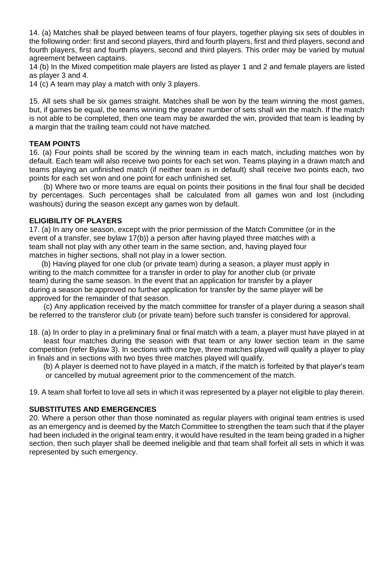14. (a) Matches shall be played between teams of four players, together playing six sets of doubles in the following order: first and second players, third and fourth players, first and third players, second and fourth players, first and fourth players, second and third players. This order may be varied by mutual agreement between captains.

14 (b) In the Mixed competition male players are listed as player 1 and 2 and female players are listed as player 3 and 4.

14 (c) A team may play a match with only 3 players.

15. All sets shall be six games straight. Matches shall be won by the team winning the most games, but, if games be equal, the teams winning the greater number of sets shall win the match. If the match is not able to be completed, then one team may be awarded the win, provided that team is leading by a margin that the trailing team could not have matched.

## **TEAM POINTS**

16. (a) Four points shall be scored by the winning team in each match, including matches won by default. Each team will also receive two points for each set won. Teams playing in a drawn match and teams playing an unfinished match (if neither team is in default) shall receive two points each, two points for each set won and one point for each unfinished set.

 (b) Where two or more teams are equal on points their positions in the final four shall be decided by percentages. Such percentages shall be calculated from all games won and lost (including washouts) during the season except any games won by default.

#### **ELIGIBILITY OF PLAYERS**

17. (a) In any one season, except with the prior permission of the Match Committee (or in the event of a transfer, see bylaw 17(b)) a person after having played three matches with a team shall not play with any other team in the same section, and, having played four matches in higher sections, shall not play in a lower section.

 (b) Having played for one club (or private team) during a season, a player must apply in writing to the match committee for a transfer in order to play for another club (or private team) during the same season. In the event that an application for transfer by a player during a season be approved no further application for transfer by the same player will be approved for the remainder of that season.

 (c) Any application received by the match committee for transfer of a player during a season shall be referred to the transferor club (or private team) before such transfer is considered for approval.

18. (a) In order to play in a preliminary final or final match with a team, a player must have played in at

 least four matches during the season with that team or any lower section team in the same competition (refer Bylaw 3). In sections with one bye, three matches played will qualify a player to play in finals and in sections with two byes three matches played will qualify.

 (b) A player is deemed not to have played in a match, if the match is forfeited by that player's team or cancelled by mutual agreement prior to the commencement of the match.

19. A team shall forfeit to love all sets in which it was represented by a player not eligible to play therein.

#### **SUBSTITUTES AND EMERGENCIES**

20. Where a person other than those nominated as regular players with original team entries is used as an emergency and is deemed by the Match Committee to strengthen the team such that if the player had been included in the original team entry, it would have resulted in the team being graded in a higher section, then such player shall be deemed ineligible and that team shall forfeit all sets in which it was represented by such emergency.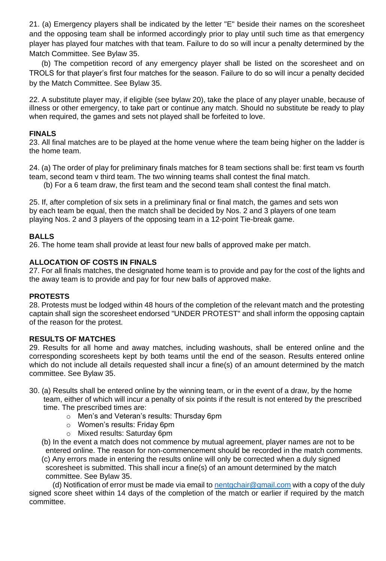21. (a) Emergency players shall be indicated by the letter "E" beside their names on the scoresheet and the opposing team shall be informed accordingly prior to play until such time as that emergency player has played four matches with that team. Failure to do so will incur a penalty determined by the Match Committee. See Bylaw 35.

 (b) The competition record of any emergency player shall be listed on the scoresheet and on TROLS for that player's first four matches for the season. Failure to do so will incur a penalty decided by the Match Committee. See Bylaw 35.

22. A substitute player may, if eligible (see bylaw 20), take the place of any player unable, because of illness or other emergency, to take part or continue any match. Should no substitute be ready to play when required, the games and sets not played shall be forfeited to love.

## **FINALS**

23. All final matches are to be played at the home venue where the team being higher on the ladder is the home team.

24. (a) The order of play for preliminary finals matches for 8 team sections shall be: first team vs fourth team, second team v third team. The two winning teams shall contest the final match.

(b) For a 6 team draw, the first team and the second team shall contest the final match.

25. If, after completion of six sets in a preliminary final or final match, the games and sets won by each team be equal, then the match shall be decided by Nos. 2 and 3 players of one team playing Nos. 2 and 3 players of the opposing team in a 12-point Tie-break game.

# **BALLS**

26. The home team shall provide at least four new balls of approved make per match.

## **ALLOCATION OF COSTS IN FINALS**

27. For all finals matches, the designated home team is to provide and pay for the cost of the lights and the away team is to provide and pay for four new balls of approved make.

#### **PROTESTS**

28. Protests must be lodged within 48 hours of the completion of the relevant match and the protesting captain shall sign the scoresheet endorsed "UNDER PROTEST" and shall inform the opposing captain of the reason for the protest.

#### **RESULTS OF MATCHES**

29. Results for all home and away matches, including washouts, shall be entered online and the corresponding scoresheets kept by both teams until the end of the season. Results entered online which do not include all details requested shall incur a fine(s) of an amount determined by the match committee. See Bylaw 35.

- 30. (a) Results shall be entered online by the winning team, or in the event of a draw, by the home team, either of which will incur a penalty of six points if the result is not entered by the prescribed time. The prescribed times are:
	- o Men's and Veteran's results: Thursday 6pm
	- o Women's results: Friday 6pm
	- o Mixed results: Saturday 6pm
	- (b) In the event a match does not commence by mutual agreement, player names are not to be entered online. The reason for non-commencement should be recorded in the match comments.

 (c) Any errors made in entering the results online will only be corrected when a duly signed scoresheet is submitted. This shall incur a fine(s) of an amount determined by the match committee. See Bylaw 35.

(d) Notification of error must be made via email to  $n$ entgchair@gmail.com with a copy of the duly signed score sheet within 14 days of the completion of the match or earlier if required by the match committee.